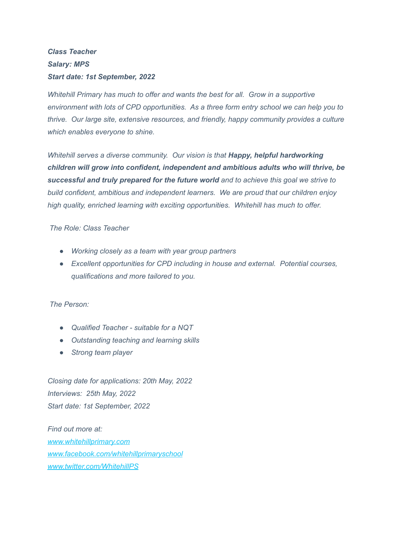## *Class Teacher Salary: MPS Start date: 1st September, 2022*

*Whitehill Primary has much to offer and wants the best for all. Grow in a supportive environment with lots of CPD opportunities. As a three form entry school we can help you to thrive. Our large site, extensive resources, and friendly, happy community provides a culture which enables everyone to shine.*

*Whitehill serves a diverse community. Our vision is that Happy, helpful hardworking children will grow into confident, independent and ambitious adults who will thrive, be successful and truly prepared for the future world and to achieve this goal we strive to build confident, ambitious and independent learners. We are proud that our children enjoy high quality, enriched learning with exciting opportunities. Whitehill has much to offer.*

*The Role: Class Teacher*

- *● Working closely as a team with year group partners*
- *● Excellent opportunities for CPD including in house and external. Potential courses, qualifications and more tailored to you.*

*The Person:*

- *● Qualified Teacher - suitable for a NQT*
- *● Outstanding teaching and learning skills*
- *● Strong team player*

*Closing date for applications: 20th May, 2022 Interviews: 25th May, 2022 Start date: 1st September, 2022*

*Find out more at: [www.whitehillprimary.com](http://www.whitehillprimary.kent.sch.uk/) [www.facebook.com/whitehillprimaryschool](http://www.facebook.com/whitehillprimaryschool) [www.twitter.com/WhitehillPS](http://www.twitter.com/WhitehillPS)*